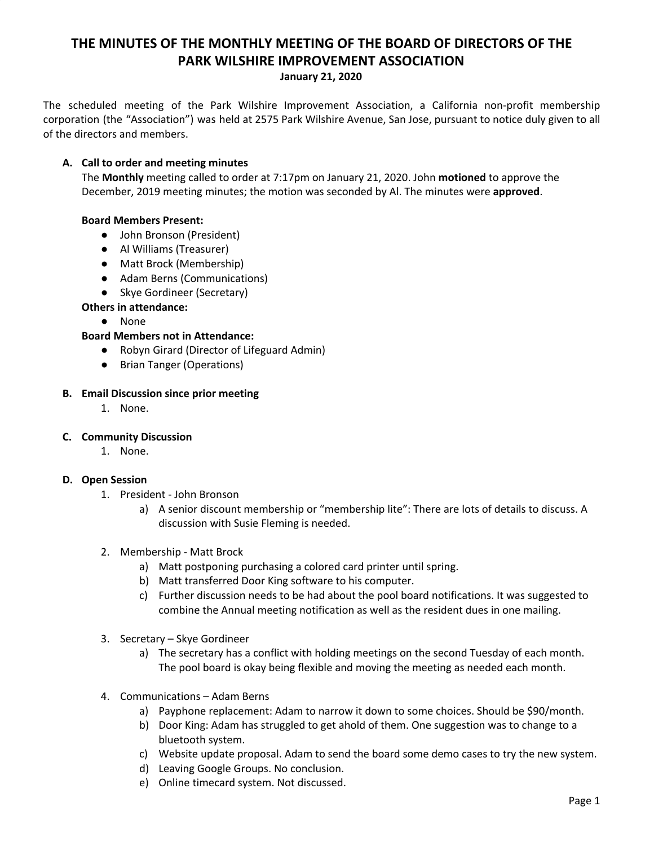# **THE MINUTES OF THE MONTHLY MEETING OF THE BOARD OF DIRECTORS OF THE PARK WILSHIRE IMPROVEMENT ASSOCIATION**

#### **January 21, 2020**

The scheduled meeting of the Park Wilshire Improvement Association, a California non-profit membership corporation (the "Association") was held at 2575 Park Wilshire Avenue, San Jose, pursuant to notice duly given to all of the directors and members.

#### **A. Call to order and meeting minutes**

The **Monthly** meeting called to order at 7:17pm on January 21, 2020. John **motioned** to approve the December, 2019 meeting minutes; the motion was seconded by Al. The minutes were **approved**.

## **Board Members Present:**

- John Bronson (President)
- **●** Al Williams (Treasurer)
- Matt Brock (Membership)
- Adam Berns (Communications)
- Skye Gordineer (Secretary)

## **Others in attendance:**

● None

## **Board Members not in Attendance:**

- Robyn Girard (Director of Lifeguard Admin)
- Brian Tanger (Operations)

#### **B. Email Discussion since prior meeting**

1. None.

#### **C. Community Discussion**

1. None.

#### **D. Open Session**

- 1. President John Bronson
	- a) A senior discount membership or "membership lite": There are lots of details to discuss. A discussion with Susie Fleming is needed.
- 2. Membership Matt Brock
	- a) Matt postponing purchasing a colored card printer until spring.
	- b) Matt transferred Door King software to his computer.
	- c) Further discussion needs to be had about the pool board notifications. It was suggested to combine the Annual meeting notification as well as the resident dues in one mailing.
- 3. Secretary Skye Gordineer
	- a) The secretary has a conflict with holding meetings on the second Tuesday of each month. The pool board is okay being flexible and moving the meeting as needed each month.
- 4. Communications Adam Berns
	- a) Payphone replacement: Adam to narrow it down to some choices. Should be \$90/month.
	- b) Door King: Adam has struggled to get ahold of them. One suggestion was to change to a bluetooth system.
	- c) Website update proposal. Adam to send the board some demo cases to try the new system.
	- d) Leaving Google Groups. No conclusion.
	- e) Online timecard system. Not discussed.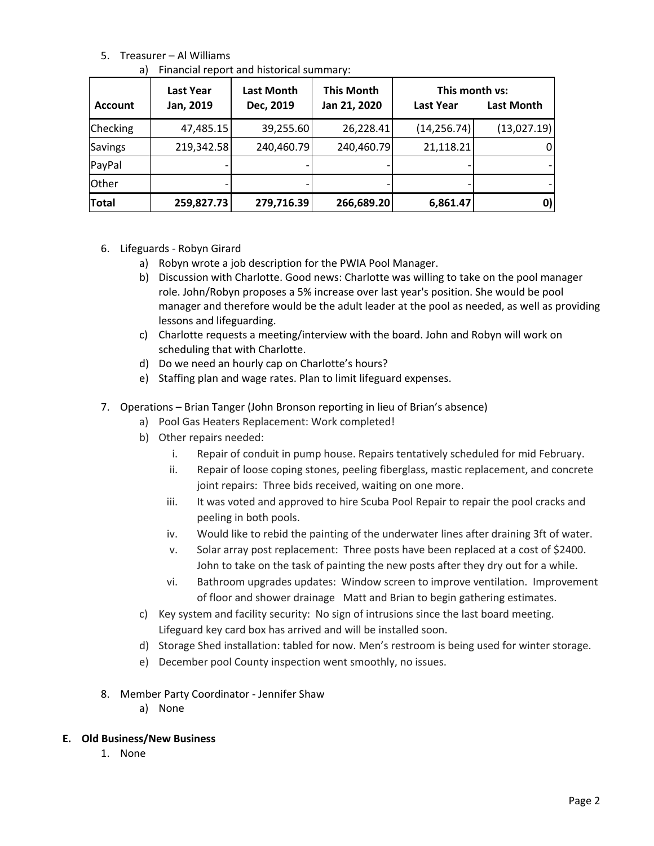# 5. Treasurer – Al Williams

|  | a) Financial report and historical summary: |  |  |
|--|---------------------------------------------|--|--|
|--|---------------------------------------------|--|--|

| <b>Account</b> | <b>Last Year</b><br>Jan, 2019 | <b>Last Month</b><br>Dec, 2019 | <b>This Month</b><br>Jan 21, 2020 | This month vs:<br>Last Year | <b>Last Month</b> |
|----------------|-------------------------------|--------------------------------|-----------------------------------|-----------------------------|-------------------|
| Checking       | 47,485.15                     | 39,255.60                      | 26,228.41                         | (14, 256.74)                | (13,027.19)       |
| <b>Savings</b> | 219,342.58                    | 240,460.79                     | 240,460.79                        | 21,118.21                   |                   |
| PayPal         |                               |                                |                                   |                             |                   |
| <b>Other</b>   |                               |                                |                                   |                             |                   |
| Total          | 259,827.73                    | 279,716.39                     | 266,689.20                        | 6,861.47                    | 0)                |

- 6. Lifeguards Robyn Girard
	- a) Robyn wrote a job description for the PWIA Pool Manager.
	- b) Discussion with Charlotte. Good news: Charlotte was willing to take on the pool manager role. John/Robyn proposes a 5% increase over last year's position. She would be pool manager and therefore would be the adult leader at the pool as needed, as well as providing lessons and lifeguarding.
	- c) Charlotte requests a meeting/interview with the board. John and Robyn will work on scheduling that with Charlotte.
	- d) Do we need an hourly cap on Charlotte's hours?
	- e) Staffing plan and wage rates. Plan to limit lifeguard expenses.
- 7. Operations Brian Tanger (John Bronson reporting in lieu of Brian's absence)
	- a) Pool Gas Heaters Replacement: Work completed!
	- b) Other repairs needed:
		- i. Repair of conduit in pump house. Repairs tentatively scheduled for mid February.
		- ii. Repair of loose coping stones, peeling fiberglass, mastic replacement, and concrete joint repairs: Three bids received, waiting on one more.
		- iii. It was voted and approved to hire Scuba Pool Repair to repair the pool cracks and peeling in both pools.
		- iv. Would like to rebid the painting of the underwater lines after draining 3ft of water.
		- v. Solar array post replacement: Three posts have been replaced at a cost of \$2400. John to take on the task of painting the new posts after they dry out for a while.
		- vi. Bathroom upgrades updates: Window screen to improve ventilation. Improvement of floor and shower drainage Matt and Brian to begin gathering estimates.
	- c) Key system and facility security: No sign of intrusions since the last board meeting. Lifeguard key card box has arrived and will be installed soon.
	- d) Storage Shed installation: tabled for now. Men's restroom is being used for winter storage.
	- e) December pool County inspection went smoothly, no issues.
- 8. Member Party Coordinator Jennifer Shaw
	- a) None

#### **E. Old Business/New Business**

1. None